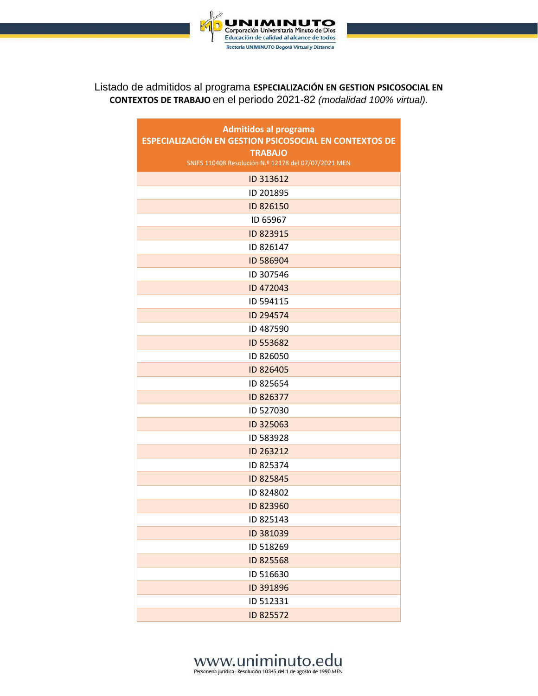

#### Listado de admitidos al programa **ESPECIALIZACIÓN EN GESTION PSICOSOCIAL EN CONTEXTOS DE TRABAJO** en el periodo 2021-82 *(modalidad 100% virtual).*

| <b>Admitidos al programa</b><br>ESPECIALIZACIÓN EN GESTION PSICOSOCIAL EN CONTEXTOS DE |
|----------------------------------------------------------------------------------------|
| <b>TRABAJO</b>                                                                         |
| SNIES 110408 Resolución N.º 12178 del 07/07/2021 MEN                                   |
| ID 313612                                                                              |
| ID 201895                                                                              |
| ID 826150                                                                              |
| ID 65967                                                                               |
| ID 823915                                                                              |
| ID 826147                                                                              |
| ID 586904                                                                              |
| ID 307546                                                                              |
| ID 472043                                                                              |
| ID 594115                                                                              |
| ID 294574                                                                              |
| ID 487590                                                                              |
| ID 553682                                                                              |
| ID 826050                                                                              |
| ID 826405                                                                              |
| ID 825654                                                                              |
| ID 826377                                                                              |
| ID 527030                                                                              |
| ID 325063                                                                              |
| ID 583928                                                                              |
| ID 263212                                                                              |
| ID 825374                                                                              |
| ID 825845                                                                              |
| ID 824802                                                                              |
| ID 823960                                                                              |
| ID 825143                                                                              |
| ID 381039                                                                              |
| ID 518269                                                                              |
| ID 825568                                                                              |
| ID 516630                                                                              |
| ID 391896                                                                              |
| ID 512331                                                                              |
| ID 825572                                                                              |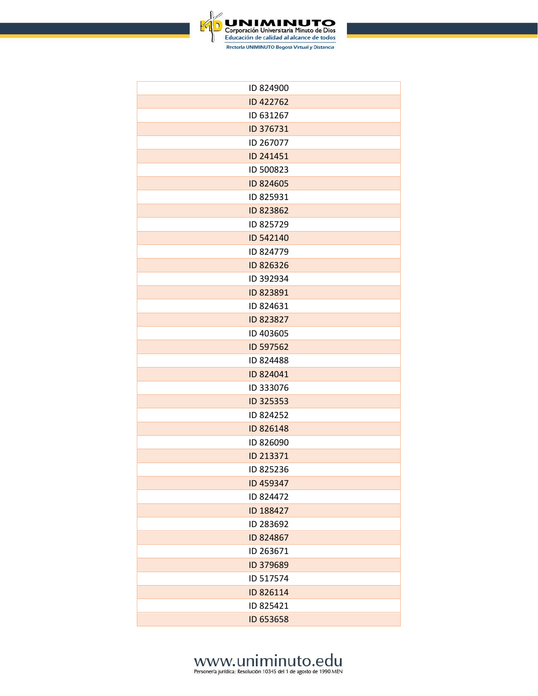

| ID 824900 |
|-----------|
| ID 422762 |
| ID 631267 |
| ID 376731 |
| ID 267077 |
| ID 241451 |
| ID 500823 |
| ID 824605 |
| ID 825931 |
| ID 823862 |
| ID 825729 |
| ID 542140 |
| ID 824779 |
| ID 826326 |
| ID 392934 |
| ID 823891 |
| ID 824631 |
| ID 823827 |
| ID 403605 |
| ID 597562 |
| ID 824488 |
| ID 824041 |
| ID 333076 |
| ID 325353 |
| ID 824252 |
| ID 826148 |
| ID 826090 |
| ID 213371 |
| ID 825236 |
| ID 459347 |
| ID 824472 |
| ID 188427 |
| ID 283692 |
| ID 824867 |
| ID 263671 |
| ID 379689 |
| ID 517574 |
| ID 826114 |
| ID 825421 |
| ID 653658 |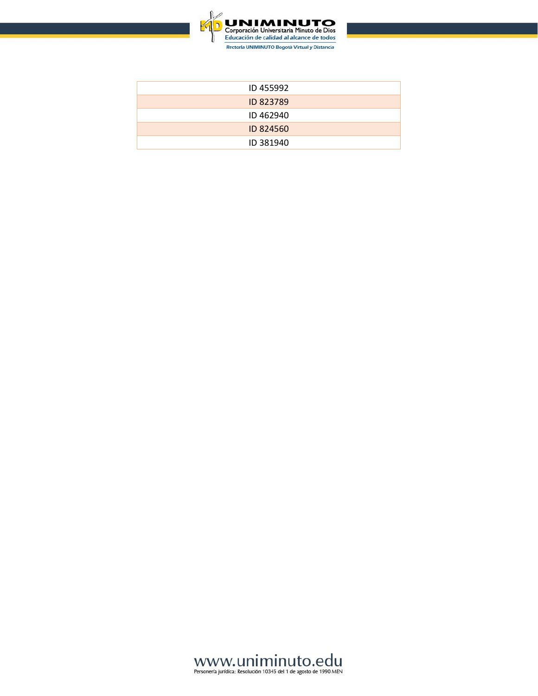

| ID 455992 |
|-----------|
| ID 823789 |
| ID 462940 |
| ID 824560 |
| ID 381940 |

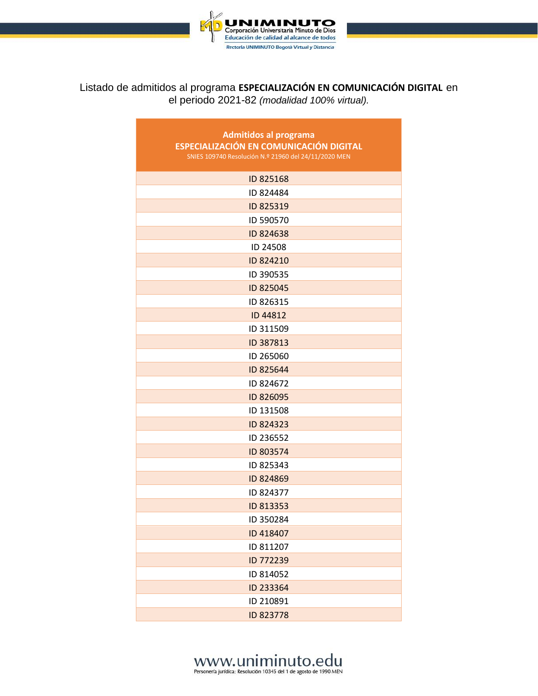

#### Listado de admitidos al programa **ESPECIALIZACIÓN EN COMUNICACIÓN DIGITAL** en el periodo 2021-82 *(modalidad 100% virtual).*

| <b>Admitidos al programa</b><br><b>ESPECIALIZACIÓN EN COMUNICACIÓN DIGITAL</b><br>SNIES 109740 Resolución N.º 21960 del 24/11/2020 MEN |
|----------------------------------------------------------------------------------------------------------------------------------------|
| ID 825168                                                                                                                              |
| ID 824484                                                                                                                              |
| ID 825319                                                                                                                              |
| ID 590570                                                                                                                              |
| ID 824638                                                                                                                              |
| ID 24508                                                                                                                               |
| ID 824210                                                                                                                              |
| ID 390535                                                                                                                              |
| ID 825045                                                                                                                              |
| ID 826315                                                                                                                              |
| ID 44812                                                                                                                               |
| ID 311509                                                                                                                              |
| ID 387813                                                                                                                              |
| ID 265060                                                                                                                              |
| ID 825644                                                                                                                              |
| ID 824672                                                                                                                              |
| ID 826095                                                                                                                              |
| ID 131508                                                                                                                              |
| ID 824323                                                                                                                              |
| ID 236552                                                                                                                              |
| ID 803574                                                                                                                              |
| ID 825343                                                                                                                              |
| ID 824869                                                                                                                              |
| ID 824377                                                                                                                              |
| ID 813353                                                                                                                              |
| ID 350284                                                                                                                              |
| ID 418407                                                                                                                              |
| ID 811207                                                                                                                              |
| ID 772239                                                                                                                              |
| ID 814052                                                                                                                              |
| ID 233364                                                                                                                              |
| ID 210891                                                                                                                              |
| ID 823778                                                                                                                              |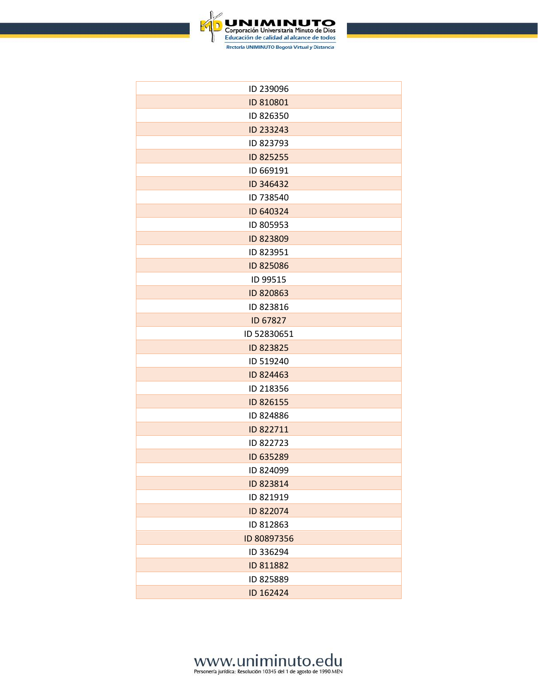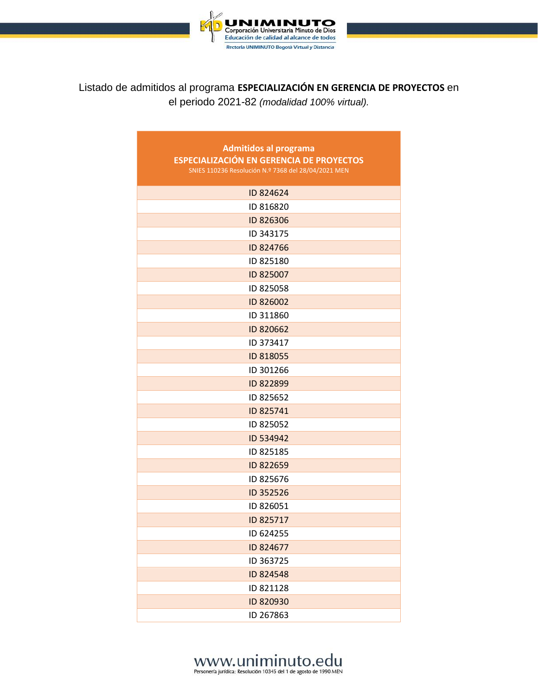

Listado de admitidos al programa **ESPECIALIZACIÓN EN GERENCIA DE PROYECTOS** en el periodo 2021-82 *(modalidad 100% virtual).*

| <b>Admitidos al programa</b><br><b>ESPECIALIZACIÓN EN GERENCIA DE PROYECTOS</b><br>SNIES 110236 Resolución N.º 7368 del 28/04/2021 MEN |
|----------------------------------------------------------------------------------------------------------------------------------------|
| ID 824624                                                                                                                              |
| ID 816820                                                                                                                              |
| ID 826306                                                                                                                              |
| ID 343175                                                                                                                              |
| ID 824766                                                                                                                              |
| ID 825180                                                                                                                              |
| ID 825007                                                                                                                              |
| ID 825058                                                                                                                              |
| ID 826002                                                                                                                              |
| ID 311860                                                                                                                              |
| ID 820662                                                                                                                              |
| ID 373417                                                                                                                              |
| ID 818055                                                                                                                              |
| ID 301266                                                                                                                              |
| ID 822899                                                                                                                              |
| ID 825652                                                                                                                              |
| ID 825741                                                                                                                              |
| ID 825052                                                                                                                              |
| ID 534942                                                                                                                              |
| ID 825185                                                                                                                              |
| ID 822659                                                                                                                              |
| ID 825676                                                                                                                              |
| ID 352526                                                                                                                              |
| ID 826051                                                                                                                              |
| ID 825717                                                                                                                              |
| ID 624255                                                                                                                              |
| ID 824677                                                                                                                              |
| ID 363725                                                                                                                              |
| ID 824548                                                                                                                              |
| ID 821128                                                                                                                              |
| ID 820930                                                                                                                              |
| ID 267863                                                                                                                              |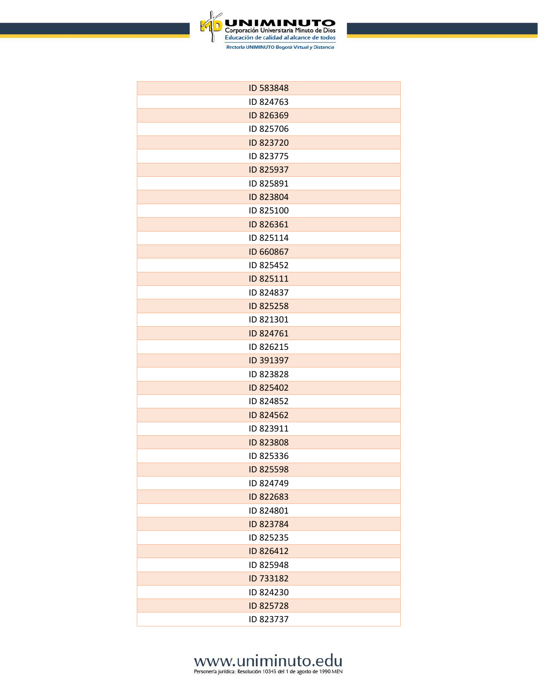

| ID 583848 |
|-----------|
| ID 824763 |
| ID 826369 |
| ID 825706 |
| ID 823720 |
| ID 823775 |
| ID 825937 |
| ID 825891 |
| ID 823804 |
| ID 825100 |
| ID 826361 |
| ID 825114 |
| ID 660867 |
| ID 825452 |
| ID 825111 |
| ID 824837 |
| ID 825258 |
| ID 821301 |
| ID 824761 |
| ID 826215 |
| ID 391397 |
| ID 823828 |
| ID 825402 |
| ID 824852 |
| ID 824562 |
| ID 823911 |
| ID 823808 |
| ID 825336 |
| ID 825598 |
| ID 824749 |
| ID 822683 |
| ID 824801 |
| ID 823784 |
| ID 825235 |
| ID 826412 |
| ID 825948 |
| ID 733182 |
| ID 824230 |
| ID 825728 |
| ID 823737 |
|           |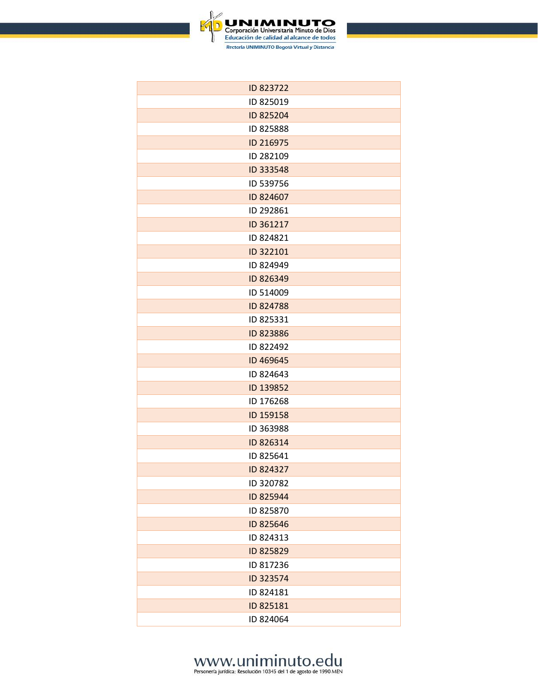

| ID 823722 |
|-----------|
| ID 825019 |
| ID 825204 |
| ID 825888 |
| ID 216975 |
| ID 282109 |
| ID 333548 |
| ID 539756 |
| ID 824607 |
| ID 292861 |
| ID 361217 |
| ID 824821 |
| ID 322101 |
| ID 824949 |
| ID 826349 |
| ID 514009 |
| ID 824788 |
| ID 825331 |
| ID 823886 |
| ID 822492 |
| ID 469645 |
| ID 824643 |
| ID 139852 |
| ID 176268 |
| ID 159158 |
| ID 363988 |
| ID 826314 |
| ID 825641 |
| ID 824327 |
| ID 320782 |
| ID 825944 |
| ID 825870 |
| ID 825646 |
| ID 824313 |
| ID 825829 |
| ID 817236 |
| ID 323574 |
| ID 824181 |
| ID 825181 |
| ID 824064 |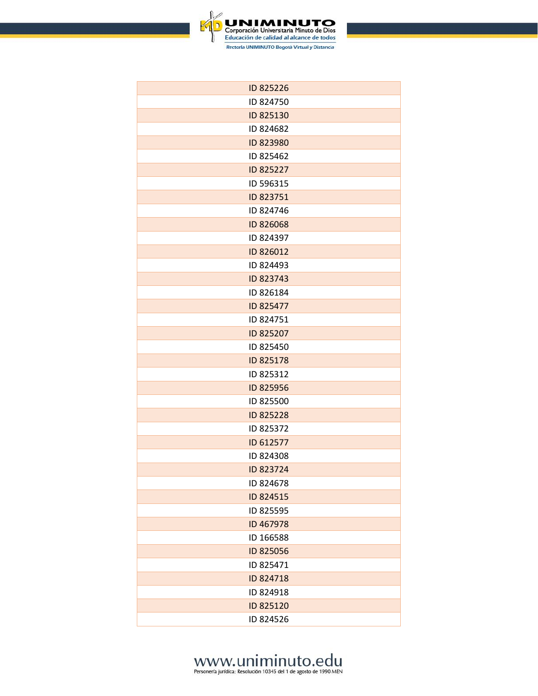

| ID 825226 |
|-----------|
| ID 824750 |
| ID 825130 |
| ID 824682 |
| ID 823980 |
| ID 825462 |
| ID 825227 |
| ID 596315 |
| ID 823751 |
| ID 824746 |
| ID 826068 |
| ID 824397 |
| ID 826012 |
| ID 824493 |
| ID 823743 |
| ID 826184 |
| ID 825477 |
| ID 824751 |
| ID 825207 |
| ID 825450 |
| ID 825178 |
| ID 825312 |
| ID 825956 |
| ID 825500 |
| ID 825228 |
| ID 825372 |
| ID 612577 |
| ID 824308 |
| ID 823724 |
| ID 824678 |
| ID 824515 |
| ID 825595 |
| ID 467978 |
| ID 166588 |
| ID 825056 |
| ID 825471 |
| ID 824718 |
| ID 824918 |
| ID 825120 |
| ID 824526 |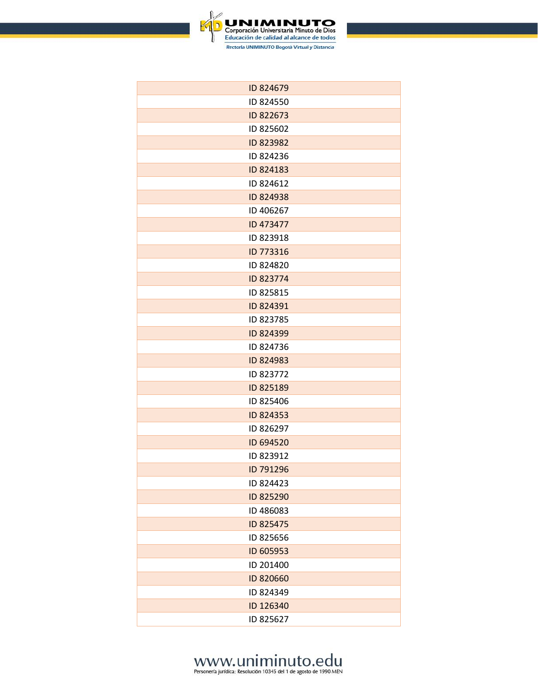

| ID 824679 |
|-----------|
| ID 824550 |
| ID 822673 |
| ID 825602 |
| ID 823982 |
| ID 824236 |
| ID 824183 |
| ID 824612 |
| ID 824938 |
| ID 406267 |
| ID 473477 |
| ID 823918 |
| ID 773316 |
| ID 824820 |
| ID 823774 |
| ID 825815 |
| ID 824391 |
| ID 823785 |
| ID 824399 |
| ID 824736 |
| ID 824983 |
| ID 823772 |
| ID 825189 |
| ID 825406 |
| ID 824353 |
| ID 826297 |
| ID 694520 |
| ID 823912 |
| ID 791296 |
| ID 824423 |
| ID 825290 |
| ID 486083 |
| ID 825475 |
| ID 825656 |
| ID 605953 |
| ID 201400 |
| ID 820660 |
| ID 824349 |
| ID 126340 |
| ID 825627 |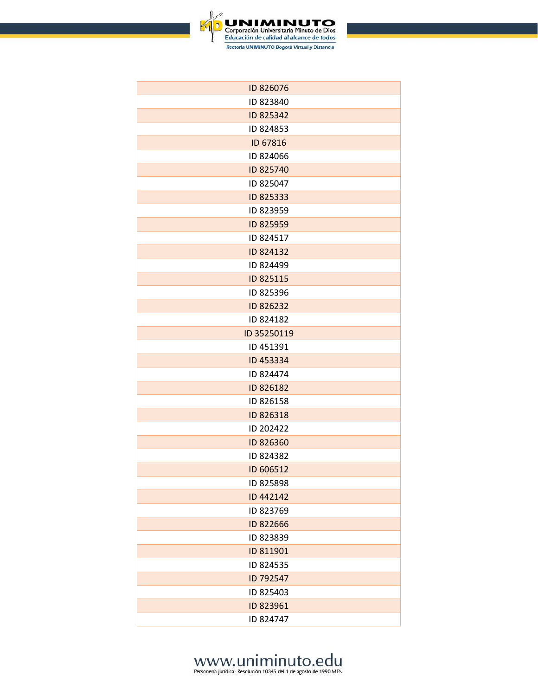

| ID 826076   |
|-------------|
| ID 823840   |
| ID 825342   |
| ID 824853   |
| ID 67816    |
| ID 824066   |
| ID 825740   |
| ID 825047   |
| ID 825333   |
| ID 823959   |
| ID 825959   |
| ID 824517   |
| ID 824132   |
| ID 824499   |
| ID 825115   |
| ID 825396   |
| ID 826232   |
| ID 824182   |
| ID 35250119 |
| ID 451391   |
| ID 453334   |
| ID 824474   |
| ID 826182   |
| ID 826158   |
| ID 826318   |
| ID 202422   |
| ID 826360   |
| ID 824382   |
| ID 606512   |
| ID 825898   |
| ID 442142   |
| ID 823769   |
| ID 822666   |
| ID 823839   |
| ID 811901   |
| ID 824535   |
| ID 792547   |
| ID 825403   |
| ID 823961   |
| ID 824747   |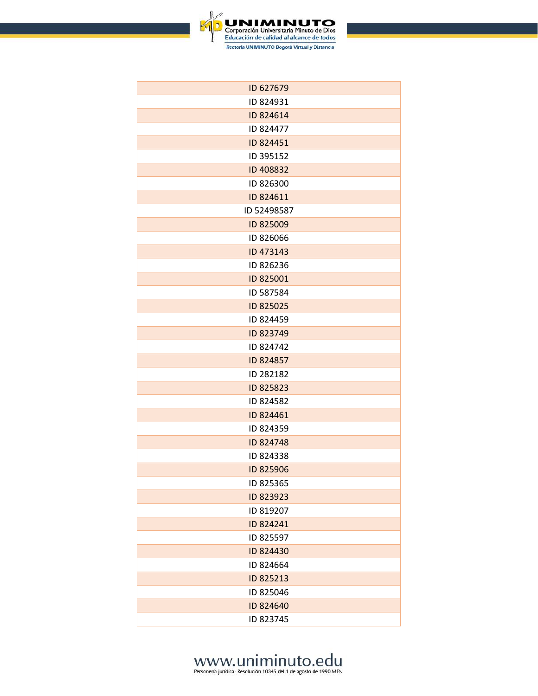

| ID 627679   |
|-------------|
| ID 824931   |
| ID 824614   |
| ID 824477   |
| ID 824451   |
| ID 395152   |
| ID 408832   |
| ID 826300   |
| ID 824611   |
| ID 52498587 |
| ID 825009   |
| ID 826066   |
| ID 473143   |
| ID 826236   |
| ID 825001   |
| ID 587584   |
| ID 825025   |
| ID 824459   |
| ID 823749   |
| ID 824742   |
| ID 824857   |
| ID 282182   |
| ID 825823   |
| ID 824582   |
| ID 824461   |
| ID 824359   |
| ID 824748   |
| ID 824338   |
| ID 825906   |
| ID 825365   |
| ID 823923   |
| ID 819207   |
| ID 824241   |
| ID 825597   |
| ID 824430   |
| ID 824664   |
| ID 825213   |
| ID 825046   |
| ID 824640   |
| ID 823745   |
|             |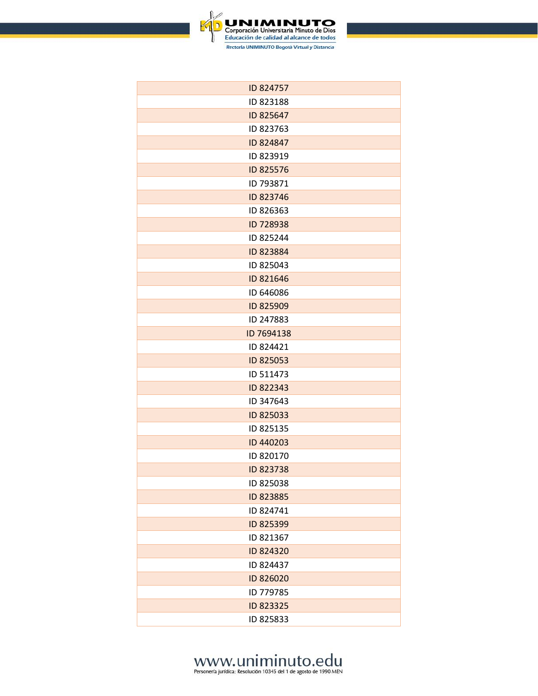

| ID 824757  |
|------------|
| ID 823188  |
| ID 825647  |
| ID 823763  |
| ID 824847  |
| ID 823919  |
| ID 825576  |
| ID 793871  |
| ID 823746  |
| ID 826363  |
| ID 728938  |
| ID 825244  |
| ID 823884  |
| ID 825043  |
| ID 821646  |
| ID 646086  |
| ID 825909  |
| ID 247883  |
| ID 7694138 |
| ID 824421  |
| ID 825053  |
| ID 511473  |
| ID 822343  |
| ID 347643  |
| ID 825033  |
| ID 825135  |
| ID 440203  |
| ID 820170  |
| ID 823738  |
| ID 825038  |
| ID 823885  |
| ID 824741  |
| ID 825399  |
| ID 821367  |
| ID 824320  |
| ID 824437  |
| ID 826020  |
| ID 779785  |
| ID 823325  |
| ID 825833  |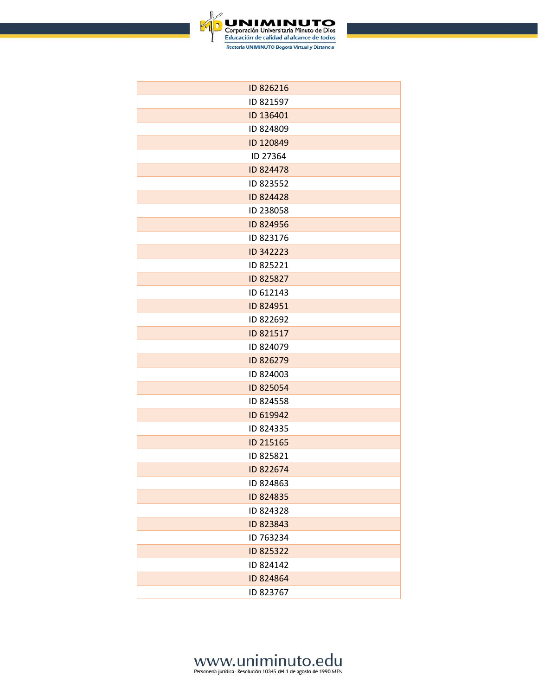

| ID 826216 |
|-----------|
| ID 821597 |
| ID 136401 |
| ID 824809 |
| ID 120849 |
| ID 27364  |
| ID 824478 |
| ID 823552 |
| ID 824428 |
| ID 238058 |
| ID 824956 |
| ID 823176 |
| ID 342223 |
| ID 825221 |
| ID 825827 |
| ID 612143 |
| ID 824951 |
| ID 822692 |
| ID 821517 |
| ID 824079 |
| ID 826279 |
| ID 824003 |
| ID 825054 |
| ID 824558 |
| ID 619942 |
| ID 824335 |
| ID 215165 |
| ID 825821 |
| ID 822674 |
| ID 824863 |
| ID 824835 |
| ID 824328 |
| ID 823843 |
| ID 763234 |
| ID 825322 |
| ID 824142 |
| ID 824864 |
| ID 823767 |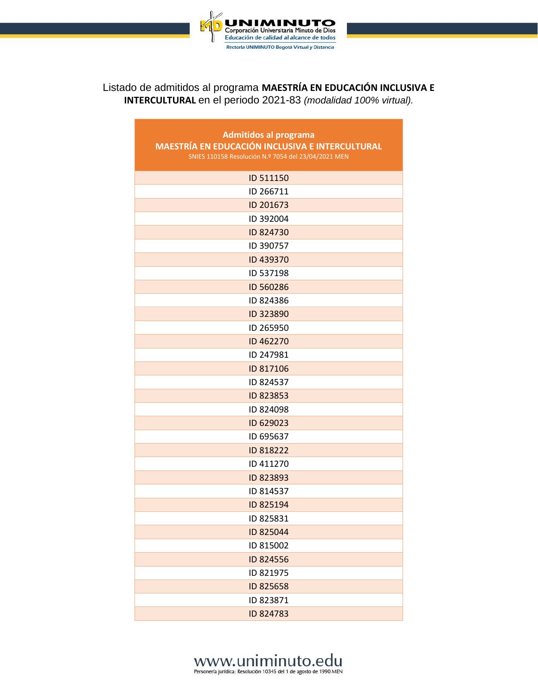

#### Listado de admitidos al programa **MAESTRÍA EN EDUCACIÓN INCLUSIVA E INTERCULTURAL** en el periodo 2021-83 *(modalidad 100% virtual).*

| <b>Admitidos al programa</b>                           |  |  |
|--------------------------------------------------------|--|--|
| <b>MAESTRÍA EN EDUCACIÓN INCLUSIVA E INTERCULTURAL</b> |  |  |
| SNIES 110158 Resolución N.º 7054 del 23/04/2021 MEN    |  |  |
| ID 511150                                              |  |  |
| ID 266711                                              |  |  |
| ID 201673                                              |  |  |
| ID 392004                                              |  |  |
| ID 824730                                              |  |  |
| ID 390757                                              |  |  |
| ID 439370                                              |  |  |
| ID 537198                                              |  |  |
| ID 560286                                              |  |  |
| ID 824386                                              |  |  |
| ID 323890                                              |  |  |
| ID 265950                                              |  |  |
| ID 462270                                              |  |  |
| ID 247981                                              |  |  |
| ID 817106                                              |  |  |
| ID 824537                                              |  |  |
| ID 823853                                              |  |  |
| ID 824098                                              |  |  |
| ID 629023                                              |  |  |
| ID 695637                                              |  |  |
| ID 818222                                              |  |  |
| ID 411270                                              |  |  |
| ID 823893                                              |  |  |
| ID 814537                                              |  |  |
| ID 825194                                              |  |  |
| ID 825831                                              |  |  |
| ID 825044                                              |  |  |
| ID 815002                                              |  |  |
| ID 824556                                              |  |  |
| ID 821975                                              |  |  |
| ID 825658                                              |  |  |
| ID 823871                                              |  |  |
| ID 824783                                              |  |  |

#### www.uniminuto.edu

Personería jurídica: Resolución 10345 del 1 de agosto de 1990 MEN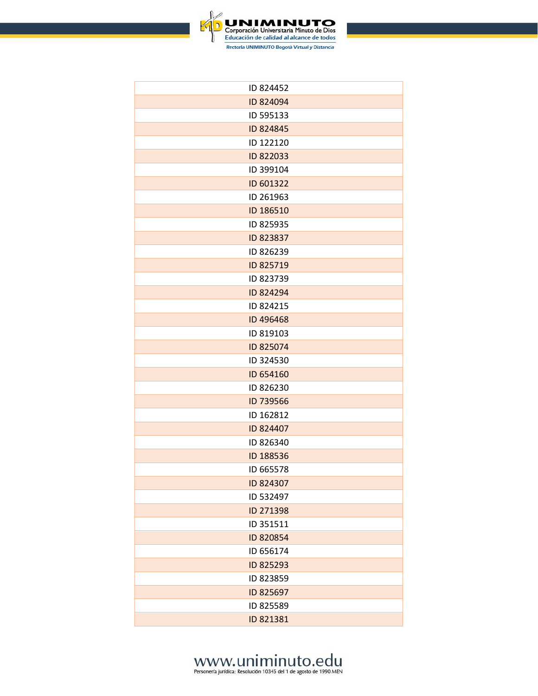

| ID 824452 |
|-----------|
| ID 824094 |
| ID 595133 |
| ID 824845 |
| ID 122120 |
| ID 822033 |
| ID 399104 |
| ID 601322 |
| ID 261963 |
| ID 186510 |
| ID 825935 |
| ID 823837 |
| ID 826239 |
| ID 825719 |
| ID 823739 |
| ID 824294 |
| ID 824215 |
| ID 496468 |
| ID 819103 |
| ID 825074 |
| ID 324530 |
| ID 654160 |
| ID 826230 |
| ID 739566 |
| ID 162812 |
| ID 824407 |
| ID 826340 |
| ID 188536 |
| ID 665578 |
| ID 824307 |
| ID 532497 |
| ID 271398 |
| ID 351511 |
| ID 820854 |
| ID 656174 |
| ID 825293 |
| ID 823859 |
| ID 825697 |
| ID 825589 |
| ID 821381 |
|           |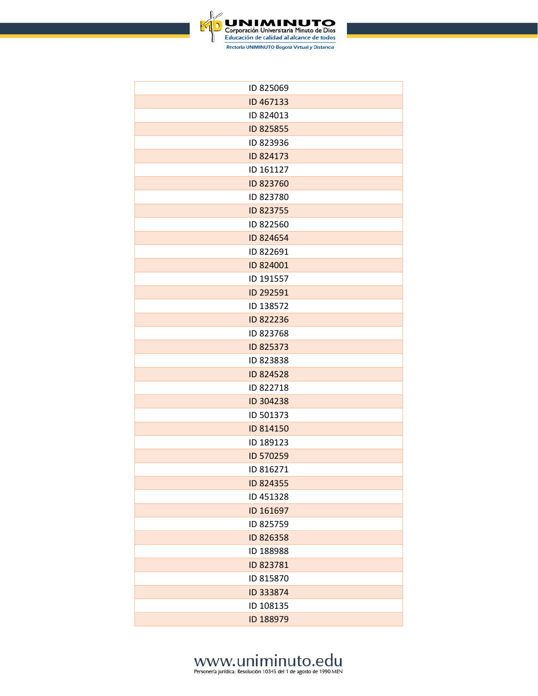

| ID 825069 |
|-----------|
| ID 467133 |
| ID 824013 |
| ID 825855 |
| ID 823936 |
| ID 824173 |
| ID 161127 |
| ID 823760 |
| ID 823780 |
| ID 823755 |
| ID 822560 |
| ID 824654 |
| ID 822691 |
| ID 824001 |
| ID 191557 |
| ID 292591 |
| ID 138572 |
| ID 822236 |
| ID 823768 |
| ID 825373 |
| ID 823838 |
| ID 824528 |
| ID 822718 |
| ID 304238 |
| ID 501373 |
| ID 814150 |
| ID 189123 |
| ID 570259 |
| ID 816271 |
| ID 824355 |
| ID 451328 |
| ID 161697 |
| ID 825759 |
| ID 826358 |
| ID 188988 |
| ID 823781 |
| ID 815870 |
| ID 333874 |
| ID 108135 |
| ID 188979 |
|           |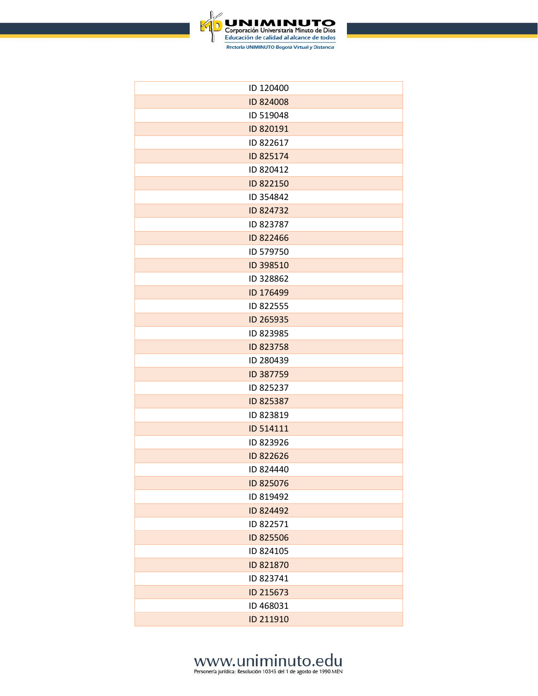

| ID 120400 |
|-----------|
| ID 824008 |
| ID 519048 |
| ID 820191 |
| ID 822617 |
| ID 825174 |
| ID 820412 |
| ID 822150 |
| ID 354842 |
| ID 824732 |
| ID 823787 |
| ID 822466 |
| ID 579750 |
| ID 398510 |
| ID 328862 |
| ID 176499 |
| ID 822555 |
| ID 265935 |
| ID 823985 |
| ID 823758 |
| ID 280439 |
| ID 387759 |
| ID 825237 |
| ID 825387 |
| ID 823819 |
| ID 514111 |
| ID 823926 |
| ID 822626 |
| ID 824440 |
| ID 825076 |
| ID 819492 |
| ID 824492 |
| ID 822571 |
| ID 825506 |
| ID 824105 |
| ID 821870 |
| ID 823741 |
| ID 215673 |
| ID 468031 |
| ID 211910 |
|           |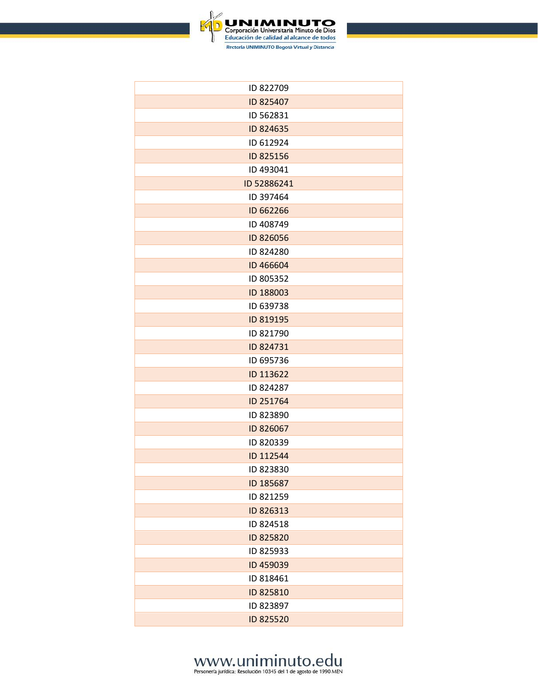

| ID 822709   |
|-------------|
| ID 825407   |
| ID 562831   |
| ID 824635   |
| ID 612924   |
| ID 825156   |
| ID 493041   |
| ID 52886241 |
| ID 397464   |
| ID 662266   |
| ID 408749   |
| ID 826056   |
| ID 824280   |
| ID 466604   |
| ID 805352   |
| ID 188003   |
| ID 639738   |
| ID 819195   |
| ID 821790   |
| ID 824731   |
| ID 695736   |
| ID 113622   |
| ID 824287   |
| ID 251764   |
| ID 823890   |
| ID 826067   |
| ID 820339   |
| ID 112544   |
| ID 823830   |
| ID 185687   |
| ID 821259   |
| ID 826313   |
| ID 824518   |
| ID 825820   |
| ID 825933   |
| ID 459039   |
| ID 818461   |
| ID 825810   |
| ID 823897   |
| ID 825520   |